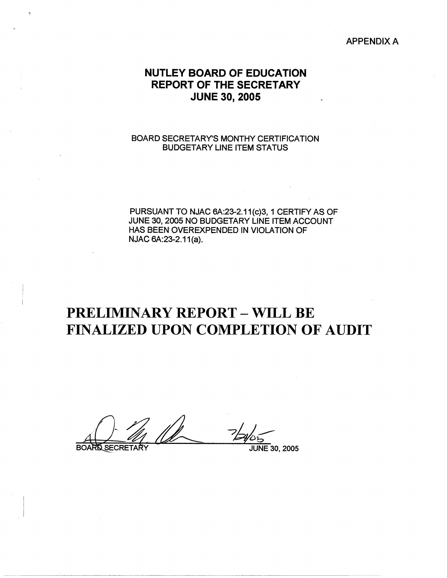APPENDIX A

## NUTLEY **BOARD** OF EDUCATION **REPORT** OF THE **SECRETARY**  JUNE **30, 2005**

## BOARD SECRETARY'S MONTHY CERTIFICATION BUDGETARY LINE ITEM STATUS

PURSUANT TO NJAC 6A:23-2.11(c)3, 1 CERTIFY AS OF JUNE 30, 2005 NO BUDGETARY LINE ITEM ACCOUNT HAS BEEN OVEREXPENDED IN VIOLATION OF NJAC 6A: 23-2.11(a).

## PRELIMINARY REPORT - WILL BE FINALIZED UPON COMPLETION OF AUDIT

**BOA** 

JUNE 30, 2005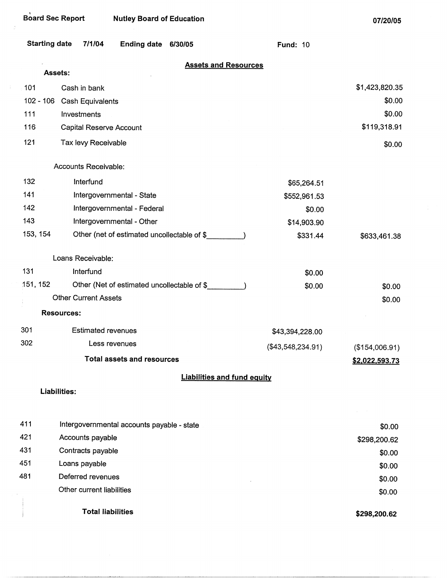| <b>Starting date</b> | 7/1/04<br><b>Ending date</b><br>6/30/05     | <b>Fund: 10</b>     |                       |
|----------------------|---------------------------------------------|---------------------|-----------------------|
|                      | <b>Assets and Resources</b><br>Assets:      |                     |                       |
| 101                  | Cash in bank                                |                     | \$1,423,820.35        |
| $102 - 106$          | Cash Equivalents                            |                     | \$0.00                |
| 111                  | Investments                                 |                     | \$0.00                |
| 116                  | <b>Capital Reserve Account</b>              |                     | \$119,318.91          |
| 121                  | Tax levy Receivable                         |                     | \$0.00                |
|                      | Accounts Receivable:                        |                     |                       |
| 132                  | Interfund                                   | \$65,264.51         |                       |
| 141                  | Intergovernmental - State                   | \$552,961.53        |                       |
| 142                  | Intergovernmental - Federal                 | \$0.00              |                       |
| 143                  | Intergovernmental - Other                   | \$14,903.90         |                       |
| 153, 154             | Other (net of estimated uncollectable of \$ | \$331.44            | \$633,461.38          |
|                      | Loans Receivable:                           |                     |                       |
| 131                  | Interfund                                   | \$0.00              |                       |
| 151, 152             | Other (Net of estimated uncollectable of \$ | \$0.00              | \$0.00                |
|                      | <b>Other Current Assets</b>                 |                     | \$0.00                |
|                      | <b>Resources:</b>                           |                     |                       |
| 301                  | <b>Estimated revenues</b>                   | \$43,394,228.00     |                       |
| 302                  | Less revenues                               | $(\$43,548,234.91)$ | (\$154,006.91)        |
|                      | <b>Total assets and resources</b>           |                     | <u>\$2,022,593.73</u> |
|                      | <b>Liabilities and fund equity</b>          |                     |                       |
|                      | <b>Liabilities:</b>                         |                     |                       |
|                      |                                             |                     |                       |
| 411                  | Intergovernmental accounts payable - state  |                     | \$0.00                |
| 421                  | Accounts payable                            |                     | \$298,200.62          |
| 431                  | Contracts payable                           |                     | \$0.00                |

451 Loans payable

481 Deferred revenues Other current liabilities

Total liabilities

**\$298,200.62** 

\$0.00 \$0.00 \$0.00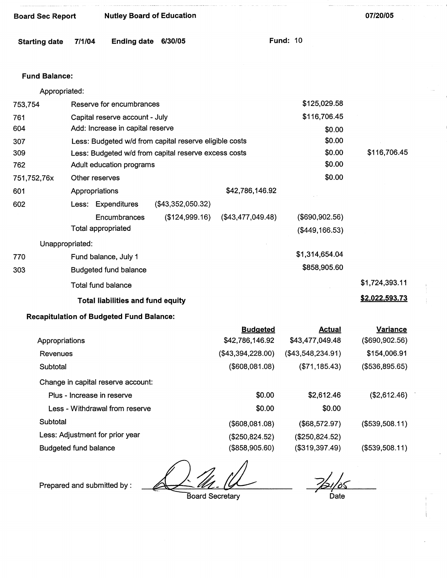| <b>Starting date</b> | 7/1/04                     | <b>Ending date</b>                              | 6/30/05                                                |                   | <b>Fund: 10</b>     |                 |  |
|----------------------|----------------------------|-------------------------------------------------|--------------------------------------------------------|-------------------|---------------------|-----------------|--|
| <b>Fund Balance:</b> |                            |                                                 |                                                        |                   |                     |                 |  |
| Appropriated:        |                            |                                                 |                                                        |                   |                     |                 |  |
| 753,754              |                            | Reserve for encumbrances                        |                                                        |                   | \$125,029.58        |                 |  |
| 761                  |                            | Capital reserve account - July                  |                                                        |                   | \$116,706.45        |                 |  |
| 604                  |                            | Add: Increase in capital reserve                |                                                        |                   | \$0.00              |                 |  |
| 307                  |                            |                                                 | Less: Budgeted w/d from capital reserve eligible costs |                   | \$0.00              |                 |  |
| 309                  |                            |                                                 | Less: Budgeted w/d from capital reserve excess costs   |                   | \$0.00              | \$116,706.45    |  |
| 762                  |                            | Adult education programs                        |                                                        |                   | \$0.00              |                 |  |
| 751,752,76x          | Other reserves             |                                                 |                                                        |                   | \$0.00              |                 |  |
| 601                  | Appropriations             |                                                 |                                                        | \$42,786,146.92   |                     |                 |  |
| 602                  |                            | Less: Expenditures                              | $(\$43,352,050.32)$                                    |                   |                     |                 |  |
|                      |                            | Encumbrances                                    | (\$124,999.16)                                         | (\$43,477,049.48) | (\$690,902.56)      |                 |  |
|                      | Total appropriated         |                                                 |                                                        |                   | (\$449,166.53)      |                 |  |
|                      | Unappropriated:            |                                                 |                                                        |                   |                     |                 |  |
| 770                  |                            | Fund balance, July 1                            |                                                        |                   | \$1,314,654.04      |                 |  |
| 303                  |                            | <b>Budgeted fund balance</b>                    |                                                        |                   | \$858,905.60        |                 |  |
|                      | Total fund balance         |                                                 |                                                        |                   |                     | \$1,724,393.11  |  |
|                      |                            | <b>Total liabilities and fund equity</b>        |                                                        |                   |                     | \$2,022,593.73  |  |
|                      |                            | <b>Recapitulation of Budgeted Fund Balance:</b> |                                                        |                   |                     |                 |  |
|                      |                            |                                                 |                                                        | <b>Budgeted</b>   | <b>Actual</b>       | <b>Variance</b> |  |
| Appropriations       |                            |                                                 |                                                        | \$42,786,146.92   | \$43,477,049.48     | (\$690,902.56)  |  |
| Revenues             |                            |                                                 |                                                        | (\$43,394,228.00) | $(\$43,548,234.91)$ | \$154,006.91    |  |
| Subtotal             |                            |                                                 |                                                        | (\$608,081.08)    | (\$71, 185.43)      | (\$536,895.65)  |  |
|                      |                            | Change in capital reserve account:              |                                                        |                   |                     |                 |  |
|                      | Plus - Increase in reserve |                                                 |                                                        | \$0.00            | \$2,612.46          | (\$2,612.46)    |  |
|                      |                            | Less - Withdrawal from reserve                  |                                                        | \$0.00            | \$0.00              |                 |  |
| Subtotal             |                            |                                                 |                                                        | (\$608,081.08)    | (\$68,572.97)       | (\$539,508.11)  |  |

Less: Adjustment for prior year (\$250,824.52)

Board Sec Report Nutley Board of Education

Budgeted fund balance (\$858,905.60)

Prepared and submitted by: <u>Later M. W. Later Constant</u>

Board Secretary

 $\frac{7}{51/05}$ 

(\$539,508.11)

**07/20/05** 

(\$250,824.52) (\$319,397.49)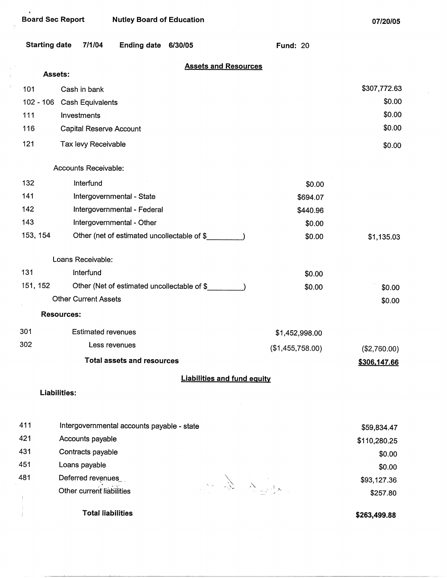$\begin{array}{c} 1 \\ 1 \\ 1 \end{array}$  $\frac{1}{\epsilon}$ 

07/20/05

| <b>Starting date</b> | 7/1/04<br><b>Ending date</b><br>6/30/05     | <b>Fund: 20</b>  |                        |
|----------------------|---------------------------------------------|------------------|------------------------|
|                      | <b>Assets and Resources</b>                 |                  |                        |
|                      | Assets:                                     |                  |                        |
| 101                  | Cash in bank                                |                  | \$307,772.63<br>\$0.00 |
| $102 - 106$<br>111   | Cash Equivalents<br>Investments             |                  | \$0.00                 |
| 116                  | <b>Capital Reserve Account</b>              |                  | \$0.00                 |
|                      |                                             |                  |                        |
| 121                  | Tax levy Receivable                         |                  | \$0.00                 |
|                      | Accounts Receivable:                        |                  |                        |
| 132                  | Interfund                                   | \$0.00           |                        |
| 141                  | Intergovernmental - State                   | \$694.07         |                        |
| 142                  | Intergovernmental - Federal                 | \$440.96         |                        |
| 143                  | Intergovernmental - Other                   | \$0.00           |                        |
| 153, 154             | Other (net of estimated uncollectable of \$ | \$0.00           | \$1,135.03             |
|                      | Loans Receivable:                           |                  |                        |
| 131                  | Interfund                                   | \$0.00           |                        |
| 151, 152             | Other (Net of estimated uncollectable of \$ | \$0.00           | \$0.00                 |
|                      | <b>Other Current Assets</b>                 |                  | \$0.00                 |
|                      | <b>Resources:</b>                           |                  |                        |
| 301                  | <b>Estimated revenues</b>                   | \$1,452,998.00   |                        |
| 302                  | Less revenues                               | (\$1,455,758.00) | (\$2,760.00)           |
|                      | <b>Total assets and resources</b>           |                  | \$306,147.66           |
|                      | <b>Liabilities and fund equity</b>          |                  |                        |
|                      | Liabilities:                                |                  |                        |
| 411                  | Intergovernmental accounts payable - state  |                  | \$59,834.47            |
| 421                  | Accounts payable                            |                  | \$110,280.25           |
| 431                  | Contracts payable                           |                  | \$0.00                 |
| 451                  | Loans payable                               |                  | \$0.00                 |
| 481                  | Deferred revenues                           |                  | \$93,127.36            |
|                      | Other current liabilities                   |                  | \$257.80               |
|                      | <b>Total liabilities</b>                    |                  | \$263,499.88           |

**\$263,499.88**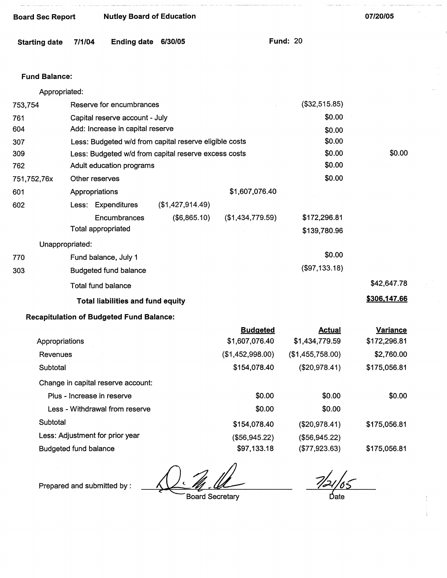| Board Sec Report | <b>Nutley Board of Education</b> |
|------------------|----------------------------------|
|                  |                                  |

Starting date 7/1/04 Ending **date 6/30/05** Fund: 20

## **Fund Balance:**

|                | Appropriated:                                          |                  |                  |                      |                    |
|----------------|--------------------------------------------------------|------------------|------------------|----------------------|--------------------|
| 753,754        | Reserve for encumbrances                               |                  |                  | (\$32,515.85)        |                    |
| 761            | Capital reserve account - July                         |                  |                  | \$0.00               |                    |
| 604            | Add: Increase in capital reserve                       |                  |                  | \$0.00               |                    |
| 307            | Less: Budgeted w/d from capital reserve eligible costs |                  |                  | \$0.00               |                    |
| 309            | Less: Budgeted w/d from capital reserve excess costs   |                  |                  | \$0.00               | \$0.00             |
| 762            | Adult education programs                               |                  |                  | \$0.00               |                    |
| 751,752,76x    | Other reserves                                         |                  |                  | \$0.00               |                    |
| 601            | Appropriations                                         |                  | \$1,607,076.40   |                      |                    |
| 602            | Less: Expenditures                                     | (\$1,427,914.49) |                  |                      |                    |
|                | Encumbrances                                           | (\$6,865.10)     | (\$1,434,779.59) | \$172,296.81         |                    |
|                | Total appropriated                                     |                  |                  | \$139,780.96         |                    |
|                | Unappropriated:                                        |                  |                  |                      |                    |
| 770            | Fund balance, July 1                                   |                  |                  | \$0.00               |                    |
| 303            | <b>Budgeted fund balance</b>                           |                  |                  | (\$97,133.18)        |                    |
|                | <b>Total fund balance</b>                              |                  |                  |                      | \$42,647.78        |
|                | <b>Total liabilities and fund equity</b>               |                  |                  |                      | \$306,147.66       |
|                |                                                        |                  |                  |                      |                    |
|                | <b>Recapitulation of Budgeted Fund Balance:</b>        |                  |                  |                      |                    |
|                |                                                        |                  | <b>Budgeted</b>  | <b>Actual</b>        | Variance           |
| Appropriatione |                                                        |                  | 21 AN7 N7A 10.   | <b>C1 131 770 50</b> | <b>C172 206 R1</b> |

| Appropriations                     | \$1,607,076.40   | \$1,434,779.59   | \$172,296.81 |
|------------------------------------|------------------|------------------|--------------|
| Revenues                           | (\$1,452,998.00) | (\$1,455,758.00) | \$2,760.00   |
| Subtotal                           | \$154,078.40     | (\$20,978.41)    | \$175,056.81 |
| Change in capital reserve account: |                  |                  |              |
| Plus - Increase in reserve         | \$0.00           | \$0.00           | \$0.00       |
| Less - Withdrawal from reserve     | \$0.00           | \$0.00           |              |
| Subtotal                           | \$154,078.40     | (\$20,978.41)    | \$175,056.81 |
| Less: Adjustment for prior year    | (\$56,945.22)    | (\$56,945.22)    |              |
| <b>Budgeted fund balance</b>       | \$97,133.18      | (\$77,923.63)    | \$175,056.81 |

Prepared and submitted by :

Board Secretary

 $7/21/65$ 

date

07/20/05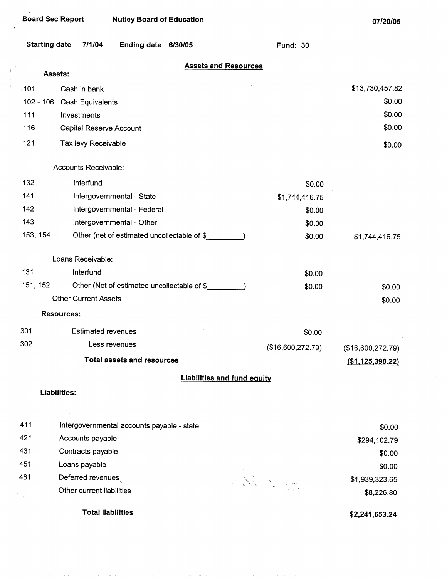والمتعاط والمستنقط فاقتلت والمتناوب

 $\mathcal{A}$ 

**07/20/05** 

 $\bar{\tau}$ 

| <b>Starting date</b> |                             | 7/1/04                    | <b>Ending date</b>                          | 6/30/05 |                                    | <b>Fund: 30</b>   |                              |
|----------------------|-----------------------------|---------------------------|---------------------------------------------|---------|------------------------------------|-------------------|------------------------------|
|                      | Assets:                     |                           |                                             |         | <b>Assets and Resources</b>        |                   |                              |
| 101                  | Cash in bank                |                           |                                             |         |                                    |                   | \$13,730,457.82              |
| $102 - 106$          |                             | Cash Equivalents          |                                             |         |                                    |                   | \$0.00                       |
| 111                  | Investments                 |                           |                                             |         |                                    |                   | \$0.00                       |
| 116                  |                             | Capital Reserve Account   |                                             |         |                                    |                   | \$0.00                       |
| 121                  |                             | Tax levy Receivable       |                                             |         |                                    |                   | \$0.00                       |
|                      | Accounts Receivable:        |                           |                                             |         |                                    |                   |                              |
| 132                  |                             | Interfund                 |                                             |         |                                    | \$0.00            |                              |
| 141                  |                             |                           | Intergovernmental - State                   |         |                                    | \$1,744,416.75    |                              |
| 142                  |                             |                           | Intergovernmental - Federal                 |         |                                    | \$0.00            |                              |
| 143                  |                             |                           | Intergovernmental - Other                   |         |                                    | \$0.00            |                              |
| 153, 154             |                             |                           | Other (net of estimated uncollectable of \$ |         |                                    | \$0.00            | \$1,744,416.75               |
|                      | Loans Receivable:           |                           |                                             |         |                                    |                   |                              |
| 131                  |                             | Interfund                 |                                             |         |                                    | \$0.00            |                              |
| 151, 152             |                             |                           | Other (Net of estimated uncollectable of \$ |         |                                    | \$0.00            | \$0.00                       |
|                      | <b>Other Current Assets</b> |                           |                                             |         |                                    |                   | \$0.00                       |
|                      | <b>Resources:</b>           |                           |                                             |         |                                    |                   |                              |
| 301                  |                             | <b>Estimated revenues</b> |                                             |         |                                    | \$0.00            |                              |
| 302                  |                             | Less revenues             |                                             |         |                                    | (\$16,600,272.79) | (\$16,600,272.79)            |
|                      |                             |                           | <b>Total assets and resources</b>           |         |                                    |                   | <u>(\$1,125,398.22)</u>      |
|                      |                             |                           |                                             |         | <b>Liabilities and fund equity</b> |                   |                              |
|                      | Liabilities:                |                           |                                             |         |                                    |                   |                              |
| 411                  |                             |                           | Intergovernmental accounts payable - state  |         |                                    |                   |                              |
| 421                  |                             | Accounts payable          |                                             |         |                                    |                   | \$0.00                       |
| 431                  |                             | Contracts payable         |                                             |         |                                    |                   | \$294,102.79                 |
| 451                  | Loans payable               |                           |                                             |         |                                    |                   | \$0.00                       |
| 481                  |                             | Deferred revenues         |                                             |         |                                    |                   | \$0.00                       |
|                      |                             | Other current liabilities |                                             |         |                                    | All Comment       | \$1,939,323.65<br>\$8,226.80 |
|                      |                             | <b>Total liabilities</b>  |                                             |         |                                    |                   | \$2,241,653.24               |
|                      |                             |                           |                                             |         |                                    |                   |                              |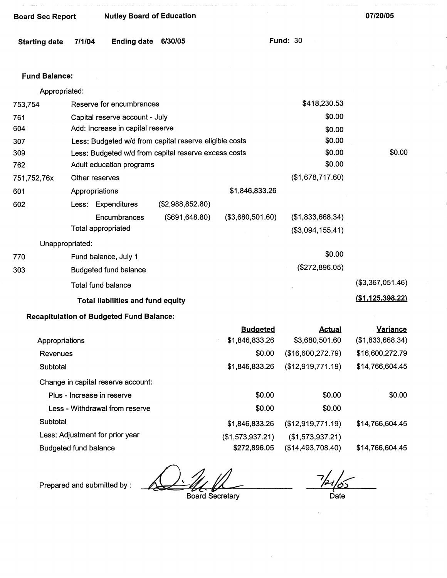| <b>Board Sec Report</b> |        | <b>Nutley Board of Education</b>                       |                  |                                   |                                      | 07/20/05                            |
|-------------------------|--------|--------------------------------------------------------|------------------|-----------------------------------|--------------------------------------|-------------------------------------|
| <b>Starting date</b>    | 7/1/04 | <b>Ending date</b>                                     | 6/30/05          |                                   | <b>Fund: 30</b>                      |                                     |
| <b>Fund Balance:</b>    |        |                                                        |                  |                                   |                                      |                                     |
| Appropriated:           |        |                                                        |                  |                                   |                                      |                                     |
| 753,754                 |        | Reserve for encumbrances                               |                  |                                   | \$418,230.53                         |                                     |
| 761                     |        | Capital reserve account - July                         |                  |                                   | \$0.00                               |                                     |
| 604                     |        | Add: Increase in capital reserve                       |                  |                                   | \$0.00                               |                                     |
| 307                     |        | Less: Budgeted w/d from capital reserve eligible costs |                  |                                   | \$0.00                               |                                     |
| 309                     |        | Less: Budgeted w/d from capital reserve excess costs   |                  |                                   | \$0.00                               | \$0.00                              |
| 762                     |        | Adult education programs                               |                  |                                   | \$0.00                               |                                     |
| 751,752,76x             |        | Other reserves                                         |                  |                                   | (\$1,678,717.60)                     |                                     |
| 601                     |        | Appropriations                                         |                  | \$1,846,833.26                    |                                      |                                     |
| 602                     |        | Less: Expenditures                                     | (\$2,988,852.80) |                                   |                                      |                                     |
|                         |        | Encumbrances<br>Total appropriated                     | (\$691, 648.80)  | (\$3,680,501.60)                  | (\$1,833,668.34)<br>(\$3,094,155.41) |                                     |
| Unappropriated:         |        |                                                        |                  |                                   |                                      |                                     |
| 770                     |        | Fund balance, July 1                                   |                  |                                   | \$0.00                               |                                     |
| 303                     |        | <b>Budgeted fund balance</b>                           |                  |                                   | (\$272,896.05)                       |                                     |
|                         |        | Total fund balance                                     |                  |                                   |                                      | (\$3,367,051.46)                    |
|                         |        | <b>Total liabilities and fund equity</b>               |                  |                                   |                                      | (\$1,125,398.22)                    |
|                         |        | <b>Recapitulation of Budgeted Fund Balance:</b>        |                  |                                   |                                      |                                     |
| Appropriations          |        |                                                        |                  | <b>Budgeted</b><br>\$1,846,833.26 | <b>Actual</b><br>\$3,680,501.60      | <u>Variance</u><br>(\$1,833,668.34) |
| Revenues                |        |                                                        |                  | \$0.00                            | (\$16,600,272.79)                    | \$16,600,272.79                     |
| Subtotal                |        |                                                        |                  | \$1,846,833.26                    | (\$12,919,771.19)                    | \$14,766,604.45                     |
|                         |        | Change in capital reserve account:                     |                  |                                   |                                      |                                     |
|                         |        | Plus - Increase in reserve                             |                  | \$0.00                            | \$0.00                               | \$0.00                              |
|                         |        | Less - Withdrawal from reserve                         |                  | \$0.00                            | \$0.00                               |                                     |
| Subtotal                |        |                                                        |                  |                                   |                                      |                                     |
|                         |        |                                                        |                  | \$1,846,833.26                    | (\$12,919,771.19)                    | \$14,766,604.45                     |

Less: Adjustment for prior year

Budgeted fund balance

Prepared and submitted by :

Board Secretary

(\$1,573,937.21) \$272,896.05

Date

\$14,766,604.45

(\$1,573,937.21) (\$14,493,708.40)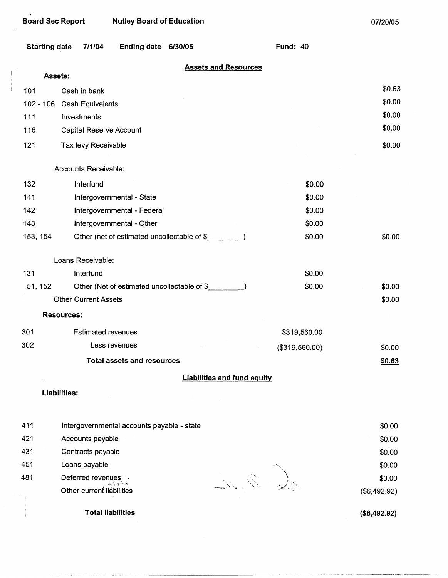$\begin{array}{c} \begin{array}{c} \begin{array}{c} \begin{array}{c} \end{array} \\ \begin{array}{c} \end{array} \end{array} \end{array} \end{array}$ 

| <b>Starting date</b> | 7/1/04<br><b>Ending date</b>                | 6/30/05                            | <b>Fund: 40</b> |              |
|----------------------|---------------------------------------------|------------------------------------|-----------------|--------------|
| Assets:              |                                             | <b>Assets and Resources</b>        |                 |              |
| 101                  | Cash in bank                                |                                    |                 | \$0.63       |
| $102 - 106$          | Cash Equivalents                            |                                    |                 | \$0.00       |
| 111                  | Investments                                 |                                    |                 | \$0.00       |
| 116                  | Capital Reserve Account                     |                                    |                 | \$0.00       |
| 121                  | Tax levy Receivable                         |                                    |                 | \$0.00       |
|                      |                                             |                                    |                 |              |
|                      | Accounts Receivable:                        |                                    |                 |              |
| 132                  | Interfund                                   |                                    | \$0.00          |              |
| 141                  | Intergovernmental - State                   |                                    | \$0.00          |              |
| 142                  | Intergovernmental - Federal                 |                                    | \$0.00          |              |
| 143                  | Intergovernmental - Other                   |                                    | \$0.00          |              |
| 153, 154             | Other (net of estimated uncollectable of \$ |                                    | \$0.00          | \$0.00       |
|                      | Loans Receivable:                           |                                    |                 |              |
| 131                  | Interfund                                   |                                    | \$0.00          |              |
| 151, 152             | Other (Net of estimated uncollectable of \$ |                                    | \$0.00          | \$0.00       |
|                      | <b>Other Current Assets</b>                 |                                    |                 | \$0.00       |
| <b>Resources:</b>    |                                             |                                    |                 |              |
| 301                  | <b>Estimated revenues</b>                   |                                    | \$319,560.00    |              |
| 302                  | Less revenues                               |                                    | (\$319,560.00)  | \$0.00       |
|                      | <b>Total assets and resources</b>           |                                    |                 | \$0.63       |
|                      |                                             | <b>Liabilities and fund equity</b> |                 |              |
| Liabilities:         |                                             |                                    |                 |              |
|                      |                                             |                                    |                 |              |
| 411                  | Intergovernmental accounts payable - state  |                                    |                 | \$0.00       |
| 421                  | Accounts payable                            |                                    |                 | \$0.00       |
| 431                  | Contracts payable                           |                                    |                 | \$0.00       |
| 451                  | Loans payable                               |                                    |                 | \$0.00       |
| 481                  | Deferred revenues · -                       |                                    |                 | \$0.00       |
|                      | メリッシュ<br>Other current liabilities          |                                    |                 | (\$6,492.92) |
|                      | <b>Total liabilities</b>                    |                                    |                 | (\$6,492.92) |

alerda de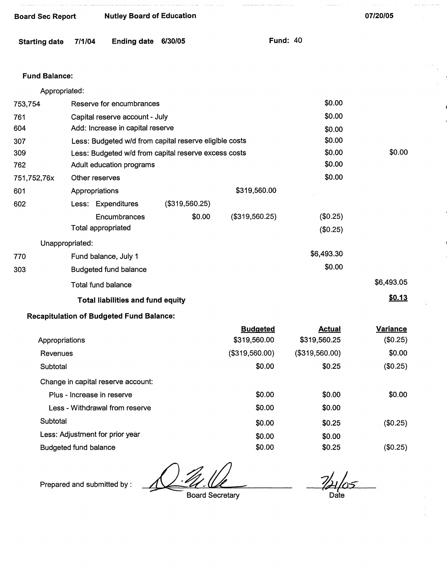| <b>Board Sec Report</b> |                | <b>Nutley Board of Education</b>                |                                                        |                 |                 |               | 07/20/05        |
|-------------------------|----------------|-------------------------------------------------|--------------------------------------------------------|-----------------|-----------------|---------------|-----------------|
| <b>Starting date</b>    | 7/1/04         | <b>Ending date</b>                              | 6/30/05                                                |                 | <b>Fund: 40</b> |               |                 |
| <b>Fund Balance:</b>    |                |                                                 |                                                        |                 |                 |               |                 |
| Appropriated:           |                |                                                 |                                                        |                 |                 |               |                 |
| 753,754                 |                | Reserve for encumbrances                        |                                                        |                 |                 | \$0.00        |                 |
| 761                     |                | Capital reserve account - July                  |                                                        |                 |                 | \$0.00        |                 |
| 604                     |                | Add: Increase in capital reserve                |                                                        |                 |                 | \$0.00        |                 |
| 307                     |                |                                                 | Less: Budgeted w/d from capital reserve eligible costs |                 |                 | \$0.00        |                 |
| 309                     |                |                                                 | Less: Budgeted w/d from capital reserve excess costs   |                 |                 | \$0.00        | \$0.00          |
| 762                     |                | Adult education programs                        |                                                        |                 |                 | \$0.00        |                 |
| 751,752,76x             | Other reserves |                                                 |                                                        |                 |                 | \$0.00        |                 |
| 601                     | Appropriations |                                                 |                                                        | \$319,560.00    |                 |               |                 |
| 602                     |                | Less: Expenditures                              | (\$319,560.25)                                         |                 |                 |               |                 |
|                         |                | Encumbrances                                    | \$0.00                                                 | (\$319,560.25)  |                 | (\$0.25)      |                 |
|                         |                | <b>Total appropriated</b>                       |                                                        |                 |                 | (\$0.25)      |                 |
| Unappropriated:         |                |                                                 |                                                        |                 |                 |               |                 |
| 770                     |                | Fund balance, July 1                            |                                                        |                 |                 | \$6,493.30    |                 |
| 303                     |                | <b>Budgeted fund balance</b>                    |                                                        |                 |                 | \$0.00        |                 |
|                         |                | <b>Total fund balance</b>                       |                                                        |                 |                 |               | \$6,493.05      |
|                         |                | <b>Total liabilities and fund equity</b>        |                                                        |                 |                 |               | \$0.13          |
|                         |                | <b>Recapitulation of Budgeted Fund Balance:</b> |                                                        |                 |                 |               |                 |
|                         |                |                                                 |                                                        | <b>Budgeted</b> |                 | <b>Actual</b> | <b>Variance</b> |
| Appropriations          |                |                                                 |                                                        | \$319,560.00    |                 | \$319,560.25  | (\$0.25)        |
| Revenues                |                |                                                 | (\$319,560.00)                                         |                 |                 |               |                 |

| Subtotal                           | \$0.00 | \$0.25 | (\$0.25) |
|------------------------------------|--------|--------|----------|
| Change in capital reserve account: |        |        |          |
| Plus - Increase in reserve         | \$0.00 | \$0.00 | \$0.00   |
| Less - Withdrawal from reserve     | \$0.00 | \$0.00 |          |
| Subtotal                           | \$0.00 | \$0.25 | (\$0.25) |
| Less: Adjustment for prior year    | \$0.00 | \$0.00 |          |
| <b>Budgeted fund balance</b>       | \$0.00 | \$0.25 | (\$0.25) |

Prepared and submitted by :

Board Secretary

 $7/4/05$ Date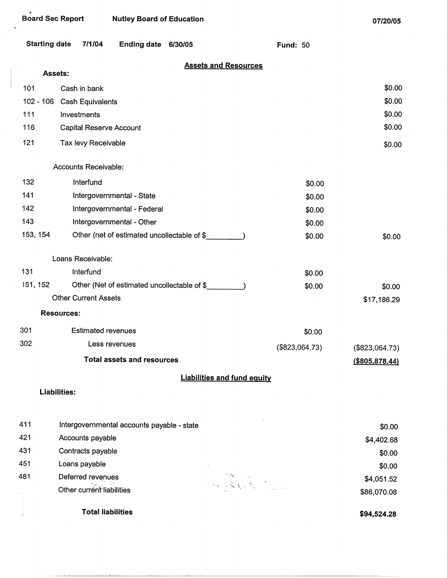فتناسد

| <b>Starting date</b> | 7/1/04                          | <b>Ending date</b>                          | 6/30/05 |                                    | <b>Fund: 50</b> |                   |
|----------------------|---------------------------------|---------------------------------------------|---------|------------------------------------|-----------------|-------------------|
|                      | Assets:                         |                                             |         | <b>Assets and Resources</b>        |                 |                   |
|                      |                                 |                                             |         |                                    |                 | \$0.00            |
| 101<br>$102 - 106$   | Cash in bank                    |                                             |         |                                    |                 | \$0.00            |
| 111                  | Cash Equivalents<br>Investments |                                             |         |                                    |                 | \$0.00            |
| 116                  | <b>Capital Reserve Account</b>  |                                             |         |                                    |                 | \$0.00            |
|                      |                                 |                                             |         |                                    |                 |                   |
| 121                  | Tax levy Receivable             |                                             |         |                                    |                 | \$0.00            |
|                      | Accounts Receivable:            |                                             |         |                                    |                 |                   |
| 132                  | Interfund                       |                                             |         |                                    | \$0.00          |                   |
| 141                  |                                 | Intergovernmental - State                   |         |                                    | \$0.00          |                   |
| 142                  |                                 | Intergovernmental - Federal                 |         |                                    | \$0.00          |                   |
| 143                  |                                 | Intergovernmental - Other                   |         |                                    | \$0.00          |                   |
| 153, 154             |                                 | Other (net of estimated uncollectable of \$ |         |                                    | \$0.00          | \$0.00            |
|                      | Loans Receivable:               |                                             |         |                                    |                 |                   |
| 131                  | Interfund                       |                                             |         |                                    | \$0.00          |                   |
| 151, 152             |                                 | Other (Net of estimated uncollectable of \$ |         |                                    | \$0.00          | \$0.00            |
|                      | <b>Other Current Assets</b>     |                                             |         |                                    |                 | \$17,186.29       |
|                      | <b>Resources:</b>               |                                             |         |                                    |                 |                   |
| 301                  | <b>Estimated revenues</b>       |                                             |         |                                    | \$0.00          |                   |
| 302                  |                                 | Less revenues                               |         |                                    | (\$823,064.73)  | (\$823,064.73)    |
|                      |                                 | <b>Total assets and resources</b>           |         |                                    |                 | $($ \$805,878.44) |
|                      |                                 |                                             |         | <b>Liabilities and fund equity</b> |                 |                   |
|                      | <b>Liabilities:</b>             |                                             |         |                                    |                 |                   |
| 411                  |                                 | Intergovernmental accounts payable - state  |         |                                    |                 | \$0.00            |
| 421                  | Accounts payable                |                                             |         |                                    |                 | \$4,402.68        |
| 431                  | Contracts payable               |                                             |         |                                    |                 | \$0.00            |
| 451                  | Loans payable                   |                                             |         |                                    |                 | \$0.00            |
| 481                  | Deferred revenues               |                                             |         |                                    |                 | \$4,051.52        |
|                      | Other current liabilities       |                                             |         |                                    |                 | \$86,070.08       |
|                      |                                 | <b>Total liabilities</b>                    |         |                                    |                 | \$94,524.28       |

**\$94,524.28**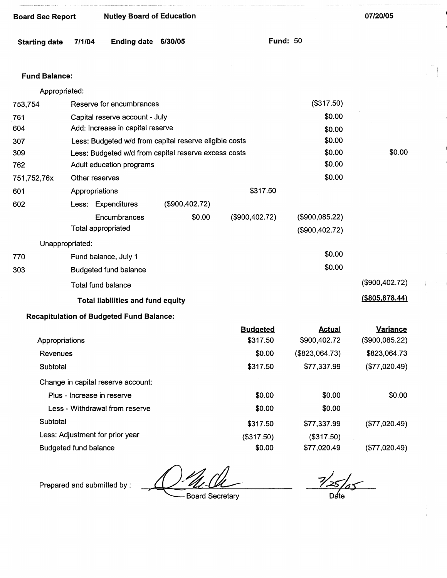| <b>Board Sec Report</b>        |                                  | <b>Nutley Board of Education</b>                |                                                        |                             |                                  | 07/20/05                          |  |
|--------------------------------|----------------------------------|-------------------------------------------------|--------------------------------------------------------|-----------------------------|----------------------------------|-----------------------------------|--|
| <b>Starting date</b>           | 7/1/04                           | <b>Ending date</b>                              | 6/30/05                                                |                             | <b>Fund: 50</b>                  |                                   |  |
| <b>Fund Balance:</b>           |                                  |                                                 |                                                        |                             |                                  |                                   |  |
| Appropriated:                  |                                  |                                                 |                                                        |                             |                                  |                                   |  |
| 753,754                        | Reserve for encumbrances         |                                                 |                                                        |                             | (\$317.50)                       |                                   |  |
| 761                            | Capital reserve account - July   |                                                 |                                                        |                             | \$0.00                           |                                   |  |
| 604                            | Add: Increase in capital reserve |                                                 |                                                        |                             | \$0.00                           |                                   |  |
| 307                            |                                  |                                                 | Less: Budgeted w/d from capital reserve eligible costs |                             | \$0.00                           |                                   |  |
| 309                            |                                  |                                                 | Less: Budgeted w/d from capital reserve excess costs   |                             | \$0.00                           | \$0.00                            |  |
| 762                            |                                  | Adult education programs                        |                                                        |                             | \$0.00                           |                                   |  |
| 751,752,76x                    | Other reserves                   |                                                 |                                                        |                             | \$0.00                           |                                   |  |
| 601                            | Appropriations                   |                                                 |                                                        | \$317.50                    |                                  |                                   |  |
| 602                            |                                  | Less: Expenditures                              | (\$900,402.72)                                         |                             |                                  |                                   |  |
|                                | <b>Total appropriated</b>        | Encumbrances                                    | \$0.00                                                 | (\$900,402.72)              | (\$900,085.22)<br>(\$900,402.72) |                                   |  |
| Unappropriated:                |                                  |                                                 |                                                        |                             |                                  |                                   |  |
| 770                            |                                  | Fund balance, July 1                            |                                                        |                             | \$0.00                           |                                   |  |
| 303                            |                                  | Budgeted fund balance                           |                                                        |                             | \$0.00                           |                                   |  |
|                                |                                  | Total fund balance                              |                                                        |                             |                                  | (\$900,402.72)                    |  |
|                                |                                  | Total liabilities and fund equity               |                                                        |                             |                                  | $($ \$805,878.44)                 |  |
|                                |                                  | <b>Recapitulation of Budgeted Fund Balance:</b> |                                                        |                             |                                  |                                   |  |
| Appropriations                 |                                  |                                                 |                                                        | <b>Budgeted</b><br>\$317.50 | <b>Actual</b><br>\$900,402.72    | <b>Variance</b><br>(\$900,085.22) |  |
| Revenues                       |                                  |                                                 |                                                        | \$0.00                      | (\$823,064.73)                   | \$823,064.73                      |  |
| Subtotal                       |                                  |                                                 |                                                        | \$317.50                    | \$77,337.99                      | (\$77,020.49)                     |  |
|                                |                                  | Change in capital reserve account:              |                                                        |                             |                                  |                                   |  |
| Plus - Increase in reserve     |                                  |                                                 |                                                        | \$0.00                      | \$0.00                           | \$0.00                            |  |
| Less - Withdrawal from reserve |                                  |                                                 |                                                        | \$0.00                      | \$0.00                           |                                   |  |
| Subtotal                       |                                  |                                                 |                                                        | \$317.50                    | \$77,337.99                      | (\$77,020.49)                     |  |

Subtotal

Less: Adjustment for prior year Budgeted fund balance

Prepared and submitted by :

' Board Secretary

(\$317.50) \$0.00

 $\frac{7}{25/25}$  $D$ ate

(\$317.50) \$77,020.49

(\$77,020.49)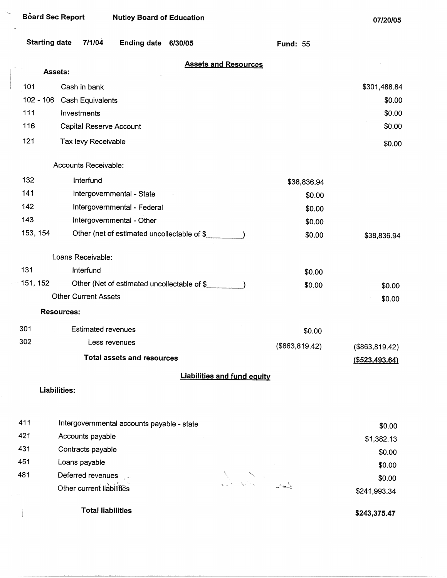| Board Sec Report     |                             | <b>Nutley Board of Education</b>            |         |                                    |                 | 07/20/05               |
|----------------------|-----------------------------|---------------------------------------------|---------|------------------------------------|-----------------|------------------------|
| <b>Starting date</b> | 7/1/04                      | <b>Ending date</b>                          | 6/30/05 |                                    | <b>Fund: 55</b> |                        |
|                      | Assets:                     |                                             |         | <b>Assets and Resources</b>        |                 |                        |
| 101                  | Cash in bank                |                                             |         |                                    |                 |                        |
| $102 - 106$          | Cash Equivalents            |                                             |         |                                    |                 | \$301,488.84<br>\$0.00 |
| 111                  | Investments                 |                                             |         |                                    |                 | \$0.00                 |
| 116                  | Capital Reserve Account     |                                             |         |                                    |                 | \$0.00                 |
| 121                  | Tax levy Receivable         |                                             |         |                                    |                 |                        |
|                      |                             |                                             |         |                                    |                 | \$0.00                 |
|                      | Accounts Receivable:        |                                             |         |                                    |                 |                        |
| 132                  | Interfund                   |                                             |         |                                    | \$38,836.94     |                        |
| 141                  | Intergovernmental - State   |                                             |         | \$0.00                             |                 |                        |
| 142                  |                             | Intergovernmental - Federal                 |         |                                    | \$0.00          |                        |
| 143                  |                             | Intergovernmental - Other                   |         |                                    | \$0.00          |                        |
| 153, 154             |                             | Other (net of estimated uncollectable of \$ |         |                                    | \$0.00          | \$38,836.94            |
|                      | Loans Receivable:           |                                             |         |                                    |                 |                        |
| 131                  | Interfund                   |                                             |         |                                    | \$0.00          |                        |
| 151, 152             |                             | Other (Net of estimated uncollectable of \$ |         |                                    | \$0.00          | \$0.00                 |
|                      | <b>Other Current Assets</b> |                                             |         |                                    |                 | \$0.00                 |
|                      | <b>Resources:</b>           |                                             |         |                                    |                 |                        |
| 301                  | <b>Estimated revenues</b>   |                                             |         |                                    | \$0.00          |                        |
| 302                  |                             | Less revenues                               |         |                                    | (\$863, 819.42) | (\$863, 819.42)        |
|                      |                             | <b>Total assets and resources</b>           |         |                                    |                 | $($ \$523,493.64)      |
|                      |                             |                                             |         | <b>Liabilities and fund equity</b> |                 |                        |
|                      | <b>Liabilities:</b>         |                                             |         |                                    |                 |                        |
| 411                  |                             | Intergovernmental accounts payable - state  |         |                                    |                 | \$0.00                 |

| 421 | Accounts payable          |                                                                                                           | \$1,382.13   |
|-----|---------------------------|-----------------------------------------------------------------------------------------------------------|--------------|
| 431 | Contracts payable         |                                                                                                           | \$0.00       |
| 451 | Loans payable             |                                                                                                           | \$0.00       |
| 481 | Deferred revenues         |                                                                                                           | \$0.00       |
|     | Other current liabilities | $\mathcal{L}_{\text{in}}(N) = \mathcal{N}_{\text{in}}(N_{\text{in}})$<br>المجمع المسير<br>المستعدد المحمد | \$241,993.34 |
|     |                           |                                                                                                           |              |

**Total liabilities** 

421 431 451

 $\mathcal{F}_{\mathcal{F}_{\mathbf{q},\mathbf{p}}}$ 

 $\alpha$ 

**\$243,375.47**